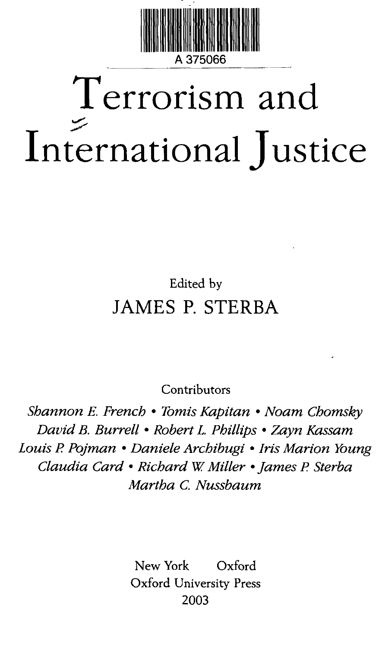

# Terrorism and International Justice

## Edited by JAMES P. STERBA

Contributors

*Shannon E. French • Tomis Kapitan • Noam Chomsky David B. Burrell • Robert L Phillips* • *Zayn Kassam Louis P. Pojman* • *Daniele Archibugi \* Iris Marion Young Claudia Card* • *Richard W Miller • James P. Sterba Martha C. Nussbaum*

> New York Oxford Oxford University Press 2003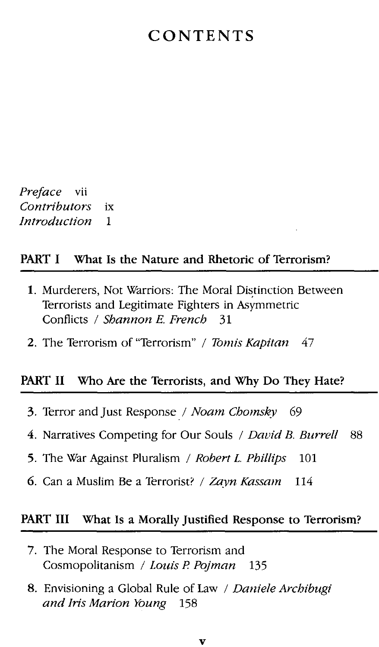### CONTENTS

*Preface* vii *Contributors* ix *Introduction* 1

#### **PART I What Is the Nature and Rhetoric of Terrorism?**

- **1.** Murderers, Not Warriors: The Moral Distinction Between Terrorists and Legitimate Fighters in Asymmetric Conflicts / *Shannon E. French* 31
- 2. The Terrorism of "Terrorism" / *Tomis Kapitan* 47

#### **PART II Who Are the Terrorists, and Why Do They Hate?**

- **3.** Terror and Just Response / *Noam Chomsky* 69
- 4. Narratives Competing for Our Souls / *David B. Burrell* 88
- 5. The War Against Pluralism / *Robert L. Phillips* 101
- 6. Can a Muslim Be a Terrorist? / *Zayn Kassam* 114

#### **PART III What Is a Morally Justified Response to Terrorism?**

- 7. The Moral Response to Terrorism and Cosmopolitanism / *Louis P. Pqjman* 135
- 8. Envisioning a Global Rule of Law / *Daniele Archibugi and Iris Marion Young* 158